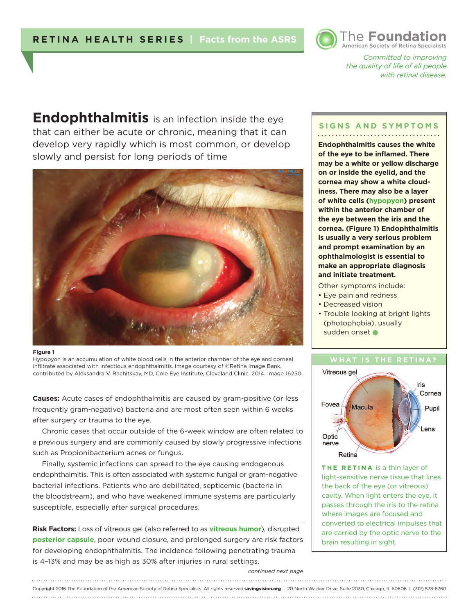

*Committed to improving the quality of life of all people with retinal disease.* 

**Endophthalmitis** is an infection inside the eye that can either be acute or chronic, meaning that it can develop very rapidly which is most common, or develop slowly and persist for long periods of time



### **Figure 1**

Hypopyon is an accumulation of white blood cells in the anterior chamber of the eye and corneal infiltrate associated with infectious endophthalmitis. Image courtesy of ©Retina Image Bank, contributed by Aleksandra V. Rachitskay, MD, Cole Eye Institute, Cleveland Clinic. 2014. Image 16250.

**Causes:** Acute cases of endophthalmitis are caused by gram-positive (or less frequently gram-negative) bacteria and are most often seen within 6 weeks after surgery or trauma to the eye.

Chronic cases that occur outside of the 6-week window are often related to a previous surgery and are commonly caused by slowly progressive infections such as Propionibacterium acnes or fungus.

Finally, systemic infections can spread to the eye causing endogenous endophthalmitis. This is often associated with systemic fungal or gram-negative bacterial infections. Patients who are debilitated, septicemic (bacteria in the bloodstream), and who have weakened immune systems are particularly susceptible, especially after surgical procedures.

**Risk Factors:** Loss of vitreous gel (also referred to as **vitreous humor**), disrupted **posterior capsule**, poor wound closure, and prolonged surgery are risk factors for developing endophthalmitis. The incidence following penetrating trauma is 4–13% and may be as high as 30% after injuries in rural settings.

### **SIGNS AND SYMPTOMS**

**Endophthalmitis causes the white of the eye to be inflamed. There may be a white or yellow discharge on or inside the eyelid, and the cornea may show a white cloudiness. There may also be a layer of white cells (hypopyon) present within the anterior chamber of the eye between the iris and the cornea. (Figure 1) Endophthalmitis is usually a very serious problem and prompt examination by an ophthalmologist is essential to make an appropriate diagnosis and initiate treatment.**

Other symptoms include:

- Eye pain and redness
- Decreased vision
- Trouble looking at bright lights (photophobia), usually sudden onset



**THE RETINA** is a thin layer of light-sensitive nerve tissue that lines the back of the eye (or vitreous) cavity. When light enters the eye, it passes through the iris to the retina where images are focused and converted to electrical impulses that are carried by the optic nerve to the brain resulting in sight.

#### *continued next page*

## Copyright 2016 The Foundation of the American Society of Retina Specialists. All rights reserved.**savingvision.org** I 20 North Wacker Drive, Suite 2030, Chicago, IL 60606 | (312) 578-8760